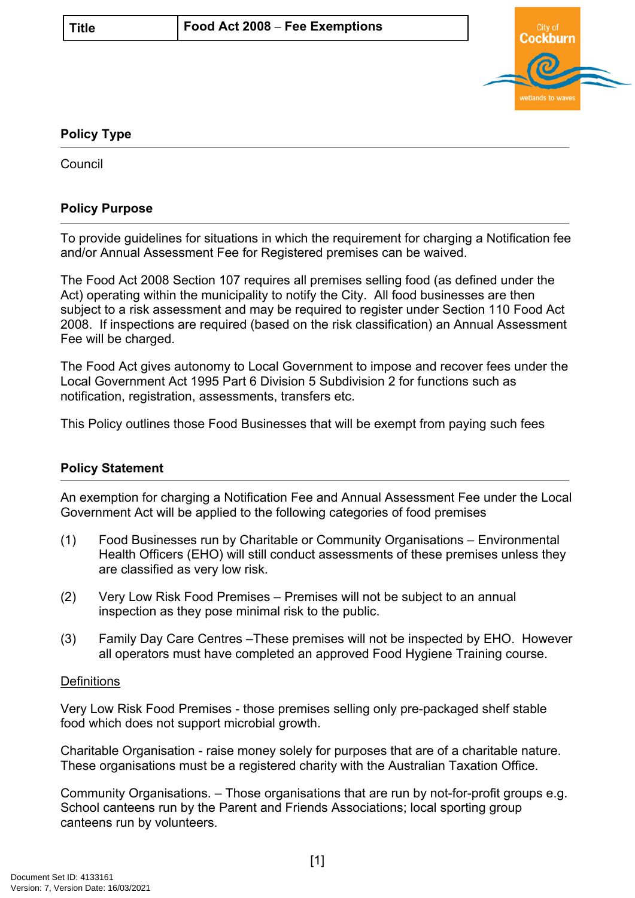

## **Policy Type**

**Council** 

## **Policy Purpose**

To provide guidelines for situations in which the requirement for charging a Notification fee and/or Annual Assessment Fee for Registered premises can be waived.

The Food Act 2008 Section 107 requires all premises selling food (as defined under the Act) operating within the municipality to notify the City. All food businesses are then subject to a risk assessment and may be required to register under Section 110 Food Act 2008. If inspections are required (based on the risk classification) an Annual Assessment Fee will be charged.

The Food Act gives autonomy to Local Government to impose and recover fees under the Local Government Act 1995 Part 6 Division 5 Subdivision 2 for functions such as notification, registration, assessments, transfers etc.

This Policy outlines those Food Businesses that will be exempt from paying such fees

## **Policy Statement**

An exemption for charging a Notification Fee and Annual Assessment Fee under the Local Government Act will be applied to the following categories of food premises

- (1) Food Businesses run by Charitable or Community Organisations Environmental Health Officers (EHO) will still conduct assessments of these premises unless they are classified as very low risk.
- (2) Very Low Risk Food Premises Premises will not be subject to an annual inspection as they pose minimal risk to the public.
- (3) Family Day Care Centres –These premises will not be inspected by EHO. However all operators must have completed an approved Food Hygiene Training course.

## **Definitions**

Very Low Risk Food Premises - those premises selling only pre-packaged shelf stable food which does not support microbial growth.

Charitable Organisation - raise money solely for purposes that are of a charitable nature. These organisations must be a registered charity with the Australian Taxation Office.

Community Organisations. – Those organisations that are run by not-for-profit groups e.g. School canteens run by the Parent and Friends Associations; local sporting group canteens run by volunteers.